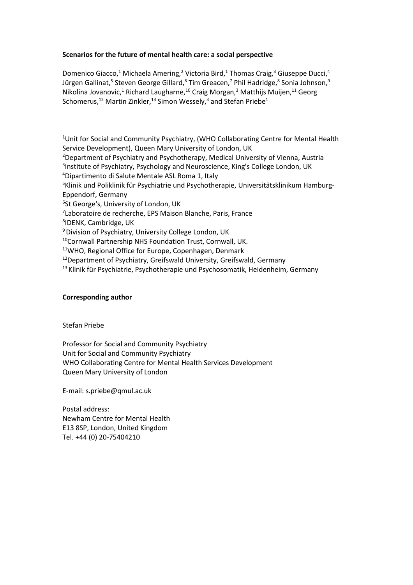# **Scenarios for the future of mental health care: a social perspective**

Domenico Giacco,<sup>1</sup> Michaela Amering,<sup>2</sup> Victoria Bird,<sup>1</sup> Thomas Craig,<sup>3</sup> Giuseppe Ducci,<sup>4</sup> Jürgen Gallinat, $^5$  Steven George Gillard, $^6$  Tim Greacen, $^7$  Phil Hadridge, $^8$  Sonia Johnson, $^9$ Nikolina Jovanovic,<sup>1</sup> Richard Laugharne,<sup>10</sup> Craig Morgan,<sup>3</sup> Matthijs Muijen,<sup>11</sup> Georg Schomerus, $^{12}$  Martin Zinkler, $^{13}$  Simon Wessely, $^3$  and Stefan Priebe $^1$ 

<sup>1</sup>Unit for Social and Community Psychiatry, (WHO Collaborating Centre for Mental Health Service Development), Queen Mary University of London, UK <sup>2</sup>Department of Psychiatry and Psychotherapy, Medical University of Vienna, Austria <sup>3</sup>Institute of Psychiatry, Psychology and Neuroscience, King's College London, UK <sup>4</sup>Dipartimento di Salute Mentale ASL Roma 1, Italy 5Klinik und Poliklinik für Psychiatrie und Psychotherapie, Universitätsklinikum Hamburg-Eppendorf, Germany 6 St George's, University of London, UK <sup>7</sup>Laboratoire de recherche, EPS Maison Blanche, Paris, France 8 IDENK, Cambridge, UK <sup>9</sup> Division of Psychiatry, University College London, UK <sup>10</sup>Cornwall Partnership NHS Foundation Trust, Cornwall, UK.

<sup>11</sup>WHO, Regional Office for Europe, Copenhagen, Denmark

<sup>12</sup>Department of Psychiatry, Greifswald University, Greifswald, Germany

<sup>13</sup> Klinik für Psychiatrie, Psychotherapie und Psychosomatik, Heidenheim, Germany

### **Corresponding author**

Stefan Priebe

Professor for Social and Community Psychiatry Unit for Social and Community Psychiatry WHO Collaborating Centre for Mental Health Services Development Queen Mary University of London

E-mail: s.priebe@qmul.ac.uk

Postal address: Newham Centre for Mental Health E13 8SP, London, United Kingdom Tel. +44 (0) 20-75404210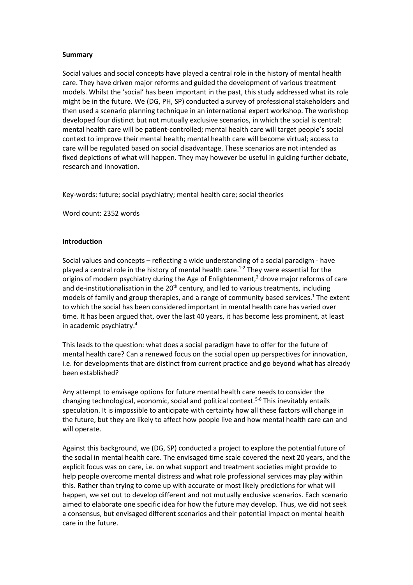#### **Summary**

Social values and social concepts have played a central role in the history of mental health care. They have driven major reforms and guided the development of various treatment models. Whilst the 'social' has been important in the past, this study addressed what its role might be in the future. We (DG, PH, SP) conducted a survey of professional stakeholders and then used a scenario planning technique in an international expert workshop. The workshop developed four distinct but not mutually exclusive scenarios, in which the social is central: mental health care will be patient-controlled; mental health care will target people's social context to improve their mental health; mental health care will become virtual; access to care will be regulated based on social disadvantage. These scenarios are not intended as fixed depictions of what will happen. They may however be useful in guiding further debate, research and innovation.

Key-words: future; social psychiatry; mental health care; social theories

Word count: 2352 words

#### **Introduction**

Social values and concepts – reflecting a wide understanding of a social paradigm - have played a central role in the history of mental health care. 1-2 They were essential for the origins of modern psychiatry during the Age of Enlightenment, $3$  drove major reforms of care and de-institutionalisation in the  $20<sup>th</sup>$  century, and led to various treatments, including models of family and group therapies, and a range of community based services. $1$  The extent to which the social has been considered important in mental health care has varied over time. It has been argued that, over the last 40 years, it has become less prominent, at least in academic psychiatry. 4

This leads to the question: what does a social paradigm have to offer for the future of mental health care? Can a renewed focus on the social open up perspectives for innovation, i.e. for developments that are distinct from current practice and go beyond what has already been established?

Any attempt to envisage options for future mental health care needs to consider the changing technological, economic, social and political context.<sup>5-6</sup> This inevitably entails speculation. It is impossible to anticipate with certainty how all these factors will change in the future, but they are likely to affect how people live and how mental health care can and will operate.

Against this background, we (DG, SP) conducted a project to explore the potential future of the social in mental health care. The envisaged time scale covered the next 20 years, and the explicit focus was on care, i.e. on what support and treatment societies might provide to help people overcome mental distress and what role professional services may play within this. Rather than trying to come up with accurate or most likely predictions for what will happen, we set out to develop different and not mutually exclusive scenarios. Each scenario aimed to elaborate one specific idea for how the future may develop. Thus, we did not seek a consensus, but envisaged different scenarios and their potential impact on mental health care in the future.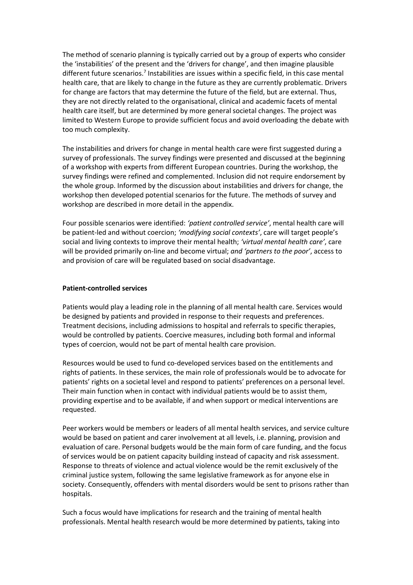The method of scenario planning is typically carried out by a group of experts who consider the 'instabilities' of the present and the 'drivers for change', and then imagine plausible different future scenarios.<sup>7</sup> Instabilities are issues within a specific field, in this case mental health care, that are likely to change in the future as they are currently problematic. Drivers for change are factors that may determine the future of the field, but are external. Thus, they are not directly related to the organisational, clinical and academic facets of mental health care itself, but are determined by more general societal changes. The project was limited to Western Europe to provide sufficient focus and avoid overloading the debate with too much complexity.

The instabilities and drivers for change in mental health care were first suggested during a survey of professionals. The survey findings were presented and discussed at the beginning of a workshop with experts from different European countries. During the workshop, the survey findings were refined and complemented. Inclusion did not require endorsement by the whole group. Informed by the discussion about instabilities and drivers for change, the workshop then developed potential scenarios for the future. The methods of survey and workshop are described in more detail in the appendix.

Four possible scenarios were identified: *'patient controlled service'*, mental health care will be patient-led and without coercion; *'modifying social contexts'*, care will target people's social and living contexts to improve their mental health; *'virtual mental health care'*, care will be provided primarily on-line and become virtual; *and 'partners to the poor'*, access to and provision of care will be regulated based on social disadvantage.

#### **Patient-controlled services**

Patients would play a leading role in the planning of all mental health care. Services would be designed by patients and provided in response to their requests and preferences. Treatment decisions, including admissions to hospital and referrals to specific therapies, would be controlled by patients. Coercive measures, including both formal and informal types of coercion, would not be part of mental health care provision.

Resources would be used to fund co-developed services based on the entitlements and rights of patients. In these services, the main role of professionals would be to advocate for patients' rights on a societal level and respond to patients' preferences on a personal level. Their main function when in contact with individual patients would be to assist them, providing expertise and to be available, if and when support or medical interventions are requested.

Peer workers would be members or leaders of all mental health services, and service culture would be based on patient and carer involvement at all levels, i.e. planning, provision and evaluation of care. Personal budgets would be the main form of care funding, and the focus of services would be on patient capacity building instead of capacity and risk assessment. Response to threats of violence and actual violence would be the remit exclusively of the criminal justice system, following the same legislative framework as for anyone else in society. Consequently, offenders with mental disorders would be sent to prisons rather than hospitals.

Such a focus would have implications for research and the training of mental health professionals. Mental health research would be more determined by patients, taking into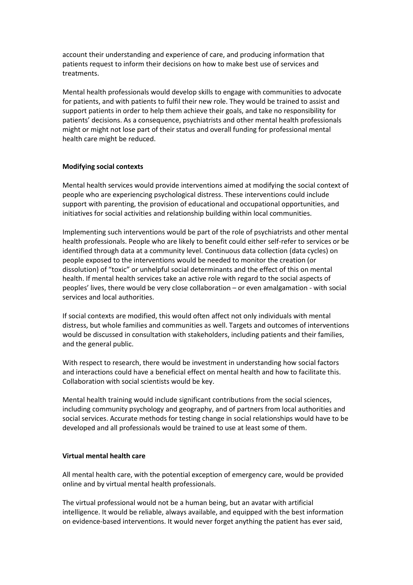account their understanding and experience of care, and producing information that patients request to inform their decisions on how to make best use of services and treatments.

Mental health professionals would develop skills to engage with communities to advocate for patients, and with patients to fulfil their new role. They would be trained to assist and support patients in order to help them achieve their goals, and take no responsibility for patients' decisions. As a consequence, psychiatrists and other mental health professionals might or might not lose part of their status and overall funding for professional mental health care might be reduced.

### **Modifying social contexts**

Mental health services would provide interventions aimed at modifying the social context of people who are experiencing psychological distress. These interventions could include support with parenting, the provision of educational and occupational opportunities, and initiatives for social activities and relationship building within local communities.

Implementing such interventions would be part of the role of psychiatrists and other mental health professionals. People who are likely to benefit could either self-refer to services or be identified through data at a community level. Continuous data collection (data cycles) on people exposed to the interventions would be needed to monitor the creation (or dissolution) of "toxic" or unhelpful social determinants and the effect of this on mental health. If mental health services take an active role with regard to the social aspects of peoples' lives, there would be very close collaboration – or even amalgamation - with social services and local authorities.

If social contexts are modified, this would often affect not only individuals with mental distress, but whole families and communities as well. Targets and outcomes of interventions would be discussed in consultation with stakeholders, including patients and their families, and the general public.

With respect to research, there would be investment in understanding how social factors and interactions could have a beneficial effect on mental health and how to facilitate this. Collaboration with social scientists would be key.

Mental health training would include significant contributions from the social sciences, including community psychology and geography, and of partners from local authorities and social services. Accurate methods for testing change in social relationships would have to be developed and all professionals would be trained to use at least some of them.

### **Virtual mental health care**

All mental health care, with the potential exception of emergency care, would be provided online and by virtual mental health professionals.

The virtual professional would not be a human being, but an avatar with artificial intelligence. It would be reliable, always available, and equipped with the best information on evidence-based interventions. It would never forget anything the patient has ever said,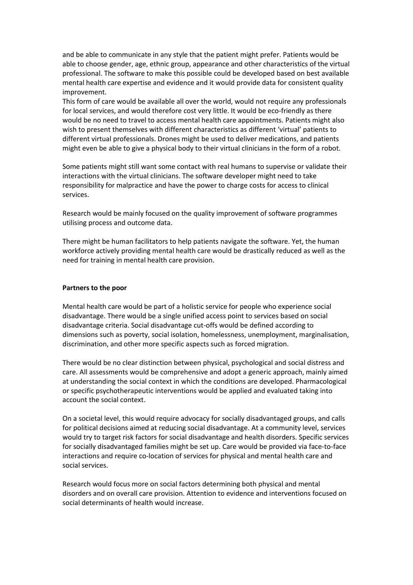and be able to communicate in any style that the patient might prefer. Patients would be able to choose gender, age, ethnic group, appearance and other characteristics of the virtual professional. The software to make this possible could be developed based on best available mental health care expertise and evidence and it would provide data for consistent quality improvement.

This form of care would be available all over the world, would not require any professionals for local services, and would therefore cost very little. It would be eco-friendly as there would be no need to travel to access mental health care appointments. Patients might also wish to present themselves with different characteristics as different 'virtual' patients to different virtual professionals. Drones might be used to deliver medications, and patients might even be able to give a physical body to their virtual clinicians in the form of a robot.

Some patients might still want some contact with real humans to supervise or validate their interactions with the virtual clinicians. The software developer might need to take responsibility for malpractice and have the power to charge costs for access to clinical services.

Research would be mainly focused on the quality improvement of software programmes utilising process and outcome data.

There might be human facilitators to help patients navigate the software. Yet, the human workforce actively providing mental health care would be drastically reduced as well as the need for training in mental health care provision.

#### **Partners to the poor**

Mental health care would be part of a holistic service for people who experience social disadvantage. There would be a single unified access point to services based on social disadvantage criteria. Social disadvantage cut-offs would be defined according to dimensions such as poverty, social isolation, homelessness, unemployment, marginalisation, discrimination, and other more specific aspects such as forced migration.

There would be no clear distinction between physical, psychological and social distress and care. All assessments would be comprehensive and adopt a generic approach, mainly aimed at understanding the social context in which the conditions are developed. Pharmacological or specific psychotherapeutic interventions would be applied and evaluated taking into account the social context.

On a societal level, this would require advocacy for socially disadvantaged groups, and calls for political decisions aimed at reducing social disadvantage. At a community level, services would try to target risk factors for social disadvantage and health disorders. Specific services for socially disadvantaged families might be set up. Care would be provided via face-to-face interactions and require co-location of services for physical and mental health care and social services.

Research would focus more on social factors determining both physical and mental disorders and on overall care provision. Attention to evidence and interventions focused on social determinants of health would increase.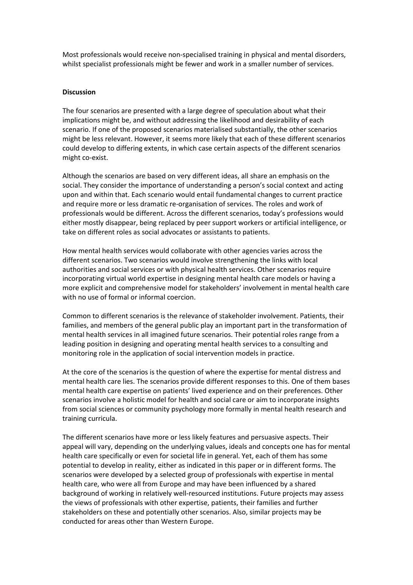Most professionals would receive non-specialised training in physical and mental disorders, whilst specialist professionals might be fewer and work in a smaller number of services.

#### **Discussion**

The four scenarios are presented with a large degree of speculation about what their implications might be, and without addressing the likelihood and desirability of each scenario. If one of the proposed scenarios materialised substantially, the other scenarios might be less relevant. However, it seems more likely that each of these different scenarios could develop to differing extents, in which case certain aspects of the different scenarios might co-exist.

Although the scenarios are based on very different ideas, all share an emphasis on the social. They consider the importance of understanding a person's social context and acting upon and within that. Each scenario would entail fundamental changes to current practice and require more or less dramatic re-organisation of services. The roles and work of professionals would be different. Across the different scenarios, today's professions would either mostly disappear, being replaced by peer support workers or artificial intelligence, or take on different roles as social advocates or assistants to patients.

How mental health services would collaborate with other agencies varies across the different scenarios. Two scenarios would involve strengthening the links with local authorities and social services or with physical health services. Other scenarios require incorporating virtual world expertise in designing mental health care models or having a more explicit and comprehensive model for stakeholders' involvement in mental health care with no use of formal or informal coercion.

Common to different scenarios is the relevance of stakeholder involvement. Patients, their families, and members of the general public play an important part in the transformation of mental health services in all imagined future scenarios. Their potential roles range from a leading position in designing and operating mental health services to a consulting and monitoring role in the application of social intervention models in practice.

At the core of the scenarios is the question of where the expertise for mental distress and mental health care lies. The scenarios provide different responses to this. One of them bases mental health care expertise on patients' lived experience and on their preferences. Other scenarios involve a holistic model for health and social care or aim to incorporate insights from social sciences or community psychology more formally in mental health research and training curricula.

The different scenarios have more or less likely features and persuasive aspects. Their appeal will vary, depending on the underlying values, ideals and concepts one has for mental health care specifically or even for societal life in general. Yet, each of them has some potential to develop in reality, either as indicated in this paper or in different forms. The scenarios were developed by a selected group of professionals with expertise in mental health care, who were all from Europe and may have been influenced by a shared background of working in relatively well-resourced institutions. Future projects may assess the views of professionals with other expertise, patients, their families and further stakeholders on these and potentially other scenarios. Also, similar projects may be conducted for areas other than Western Europe.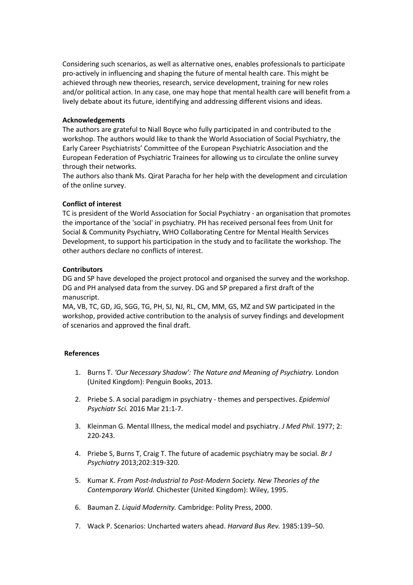Considering such scenarios, as well as alternative ones, enables professionals to participate pro-actively in influencing and shaping the future of mental health care. This might be achieved through new theories, research, service development, training for new roles and/or political action. In any case, one may hope that mental health care will benefit from a lively debate about its future, identifying and addressing different visions and ideas.

# **Acknowledgements**

The authors are grateful to Niall Boyce who fully participated in and contributed to the workshop. The authors would like to thank the World Association of Social Psychiatry, the Early Career Psychiatrists' Committee of the European Psychiatric Association and the European Federation of Psychiatric Trainees for allowing us to circulate the online survey through their networks.

The authors also thank Ms. Qirat Paracha for her help with the development and circulation of the online survey.

# **Conflict of interest**

TC is president of the World Association for Social Psychiatry - an organisation that promotes the importance of the 'social' in psychiatry. PH has received personal fees from Unit for Social & Community Psychiatry, WHO Collaborating Centre for Mental Health Services Development, to support his participation in the study and to facilitate the workshop. The other authors declare no conflicts of interest.

# **Contributors**

DG and SP have developed the project protocol and organised the survey and the workshop. DG and PH analysed data from the survey. DG and SP prepared a first draft of the manuscript.

MA, VB, TC, GD, JG, SGG, TG, PH, SJ, NJ, RL, CM, MM, GS, MZ and SW participated in the workshop, provided active contribution to the analysis of survey findings and development of scenarios and approved the final draft.

### **References**

- 1. Burns T. *'Our Necessary Shadow': The Nature and Meaning of Psychiatry.* London (United Kingdom): Penguin Books, 2013.
- 2. Priebe S. A social paradigm in psychiatry themes and perspectives. *Epidemiol Psychiatr Sci.* 2016 Mar 21:1-7.
- 3. Kleinman G. Mental Illness, the medical model and psychiatry. *J Med Phil.* 1977; 2: 220-243.
- 4. Priebe S, Burns T, Craig T. The future of academic psychiatry may be social. *Br J Psychiatry* 2013;202:319-320.
- 5. Kumar K. *From Post-Industrial to Post-Modern Society. New Theories of the Contemporary World.* Chichester (United Kingdom): Wiley, 1995.
- 6. Bauman Z. *Liquid Modernity.* Cambridge: Polity Press, 2000.
- 7. Wack P. Scenarios: Uncharted waters ahead. *Harvard Bus Rev.* 1985:139–50.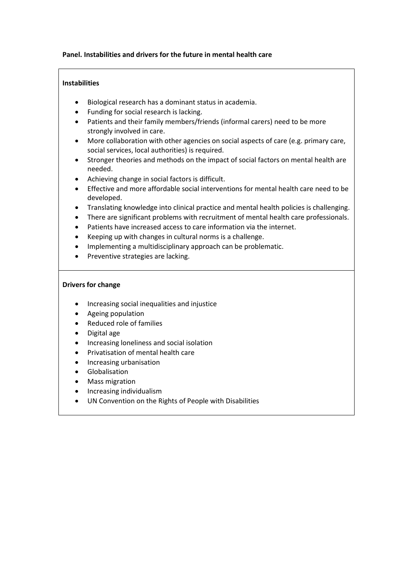## **Panel. Instabilities and drivers for the future in mental health care**

# **Instabilities**

- Biological research has a dominant status in academia.
- Funding for social research is lacking.
- Patients and their family members/friends (informal carers) need to be more strongly involved in care.
- More collaboration with other agencies on social aspects of care (e.g. primary care, social services, local authorities) is required.
- Stronger theories and methods on the impact of social factors on mental health are needed.
- Achieving change in social factors is difficult.
- Effective and more affordable social interventions for mental health care need to be developed.
- Translating knowledge into clinical practice and mental health policies is challenging.
- There are significant problems with recruitment of mental health care professionals.
- Patients have increased access to care information via the internet.
- Keeping up with changes in cultural norms is a challenge.
- Implementing a multidisciplinary approach can be problematic.
- Preventive strategies are lacking.

# **Drivers for change**

- Increasing social inequalities and injustice
- Ageing population
- Reduced role of families
- Digital age
- Increasing loneliness and social isolation
- Privatisation of mental health care
- Increasing urbanisation
- Globalisation
- Mass migration
- Increasing individualism
- UN Convention on the Rights of People with Disabilities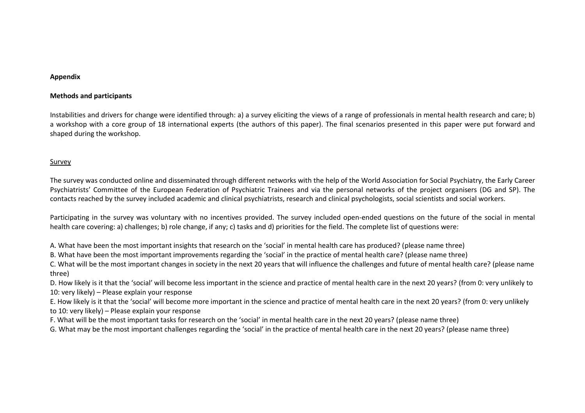#### **Appendix**

#### **Methods and participants**

Instabilities and drivers for change were identified through: a) a survey eliciting the views of a range of professionals in mental health research and care; b) a workshop with a core group of 18 international experts (the authors of this paper). The final scenarios presented in this paper were put forward and shaped during the workshop.

#### Survey

The survey was conducted online and disseminated through different networks with the help of the World Association for Social Psychiatry, the Early Career Psychiatrists' Committee of the European Federation of Psychiatric Trainees and via the personal networks of the project organisers (DG and SP). The contacts reached by the survey included academic and clinical psychiatrists, research and clinical psychologists, social scientists and social workers.

Participating in the survey was voluntary with no incentives provided. The survey included open-ended questions on the future of the social in mental health care covering: a) challenges; b) role change, if any; c) tasks and d) priorities for the field. The complete list of questions were:

A. What have been the most important insights that research on the 'social' in mental health care has produced? (please name three)

B. What have been the most important improvements regarding the 'social' in the practice of mental health care? (please name three)

C. What will be the most important changes in society in the next 20 years that will influence the challenges and future of mental health care? (please name three)

D. How likely is it that the 'social' will become less important in the science and practice of mental health care in the next 20 years? (from 0: very unlikely to 10: very likely) – Please explain your response

E. How likely is it that the 'social' will become more important in the science and practice of mental health care in the next 20 years? (from 0: very unlikely to 10: very likely) – Please explain your response

F. What will be the most important tasks for research on the 'social' in mental health care in the next 20 years? (please name three)

G. What may be the most important challenges regarding the 'social' in the practice of mental health care in the next 20 years? (please name three)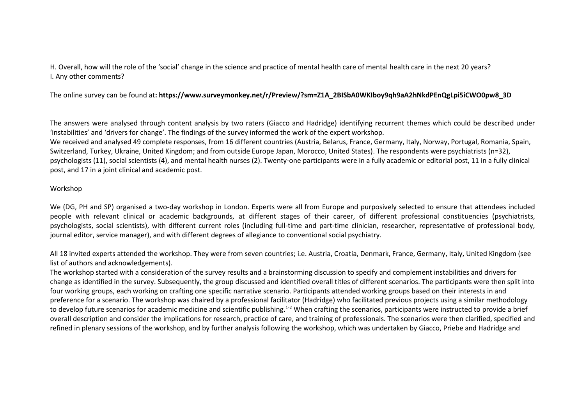H. Overall, how will the role of the 'social' change in the science and practice of mental health care of mental health care in the next 20 years? I. Any other comments?

The online survey can be found at**: https://www.surveymonkey.net/r/Preview/?sm=Z1A\_2BISbA0WKIboy9qh9aA2hNkdPEnQgLpi5iCWO0pw8\_3D**

The answers were analysed through content analysis by two raters (Giacco and Hadridge) identifying recurrent themes which could be described under 'instabilities' and 'drivers for change'. The findings of the survey informed the work of the expert workshop. We received and analysed 49 complete responses, from 16 different countries (Austria, Belarus, France, Germany, Italy, Norway, Portugal, Romania, Spain, Switzerland, Turkey, Ukraine, United Kingdom; and from outside Europe Japan, Morocco, United States). The respondents were psychiatrists (n=32), psychologists (11), social scientists (4), and mental health nurses (2). Twenty-one participants were in a fully academic or editorial post, 11 in a fully clinical post, and 17 in a joint clinical and academic post.

### Workshop

We (DG, PH and SP) organised a two-day workshop in London. Experts were all from Europe and purposively selected to ensure that attendees included people with relevant clinical or academic backgrounds, at different stages of their career, of different professional constituencies (psychiatrists, psychologists, social scientists), with different current roles (including full-time and part-time clinician, researcher, representative of professional body, journal editor, service manager), and with different degrees of allegiance to conventional social psychiatry.

All 18 invited experts attended the workshop. They were from seven countries; i.e. Austria, Croatia, Denmark, France, Germany, Italy, United Kingdom (see list of authors and acknowledgements).

The workshop started with a consideration of the survey results and a brainstorming discussion to specify and complement instabilities and drivers for change as identified in the survey. Subsequently, the group discussed and identified overall titles of different scenarios. The participants were then split into four working groups, each working on crafting one specific narrative scenario. Participants attended working groups based on their interests in and preference for a scenario. The workshop was chaired by a professional facilitator (Hadridge) who facilitated previous projects using a similar methodology to develop future scenarios for academic medicine and scientific publishing.<sup>1-2</sup> When crafting the scenarios, participants were instructed to provide a brief overall description and consider the implications for research, practice of care, and training of professionals. The scenarios were then clarified, specified and refined in plenary sessions of the workshop, and by further analysis following the workshop, which was undertaken by Giacco, Priebe and Hadridge and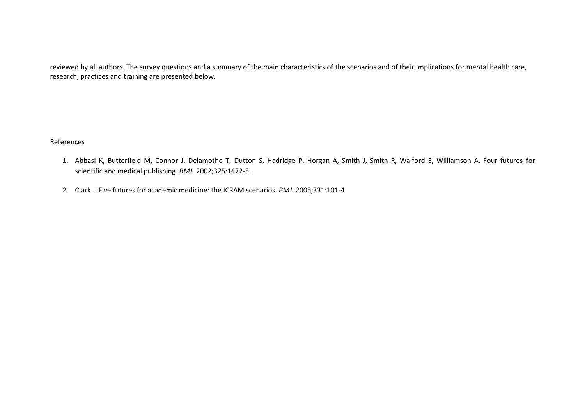reviewed by all authors. The survey questions and a summary of the main characteristics of the scenarios and of their implications for mental health care, research, practices and training are presented below.

### References

- 1. Abbasi K, Butterfield M, Connor J, Delamothe T, Dutton S, Hadridge P, Horgan A, Smith J, Smith R, Walford E, Williamson A. Four futures for scientific and medical publishing. *BMJ.* 2002;325:1472-5.
- 2. Clark J. Five futures for academic medicine: the ICRAM scenarios. *BMJ.* 2005;331:101-4.